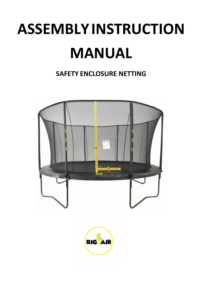# **ASSEMBLYINSTRUCTION MANUAL**

## **SAFETY ENCLOSURE NETTING**



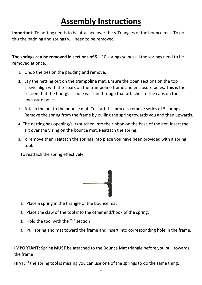## **Assembly Instructions**

**Important:** To netting needs to be attached over the V Triangles of the bounce mat. To do this the padding and springs will need to be removed.

**The springs can be removed in sections of 5 –** 10 springs so not all the springs need to be removed at once.

- 1. Undo the ties on the padding and remove.
- 2. Lay the netting out on the trampoline mat. Ensure the open sections on the top sleeve align with the Tbars on the trampoline frame and enclosure poles. This is the section that the fiberglass pole will run through that attaches to the caps on the enclosure poles.
- 3. Attach the net to the bounce mat. To start this process remove series of 5 springs. Remove the spring from the frame by pulling the spring towards you and then upwards.
- 4. The netting has opening/slits stitched into the ribbon on the base of the net. Insert the slit over the V ring on the bounce mat. Reattach the spring.
- 5. To remove then reattach the springs into place you have been provided with a spring tool.

To reattach the spring effectively:



- 1. Place a spring in the triangle of the bounce mat
- 2. Place the claw of the tool into the other end/hook of the spring.
- 3. Hold the tool with the "T' section
- 4. Pull spring and mat toward the frame and insert into corresponding hole in the frame.

**IMPORTANT:** Spring **MUST** be attached to the Bounce Mat triangle before you pull towards the frame!

**HINT**: If the spring tool is missing you can use one of the springs to do the same thing.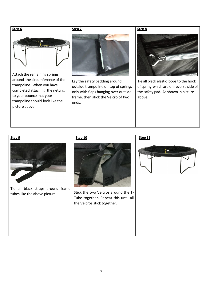

Attach the remaining springs around the circumference of the trampoline. When you have completed attaching the netting to your bounce mat your trampoline should look like the picture above.

#### **Step 7**



Lay the safety padding around outside trampoline on top of springs only with flaps hanging over outside frame, then stick the Velcro of two ends.

### **Step 8**



Tie all black elastic loops to the hook of spring which are on reverse side of the safety pad. As shown in picture above.

**Step 9**

Tie all black straps around frame tubes like the above picture.

#### **Step 10**



Stick the two Velcros around the T-Tube together. Repeat this until all the Velcros stick together.